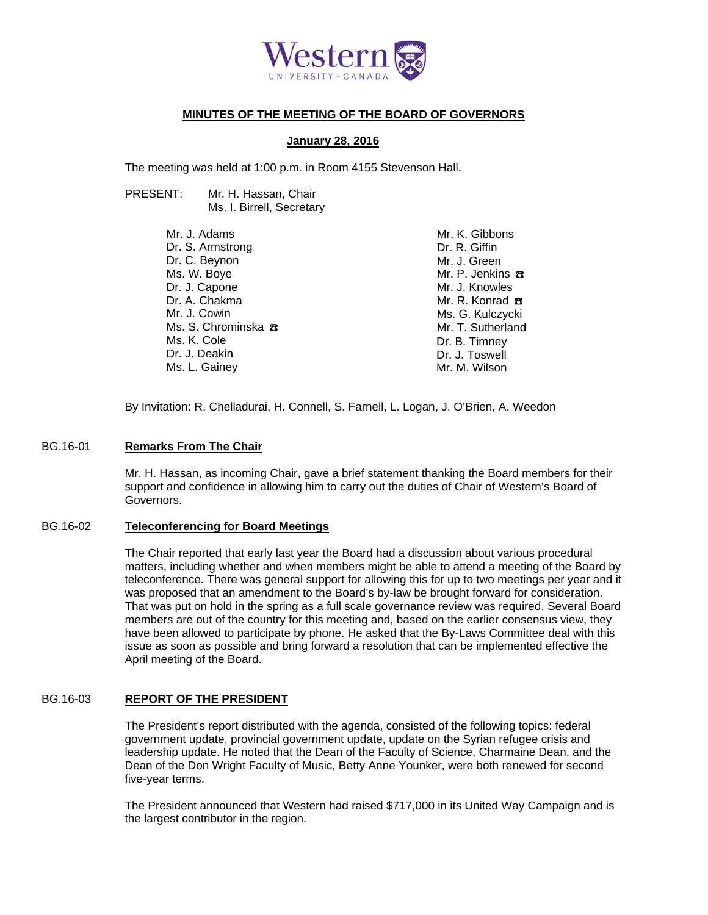

#### **MINUTES OF THE MEETING OF THE BOARD OF GOVERNORS**

#### **January 28, 2016**

The meeting was held at 1:00 p.m. in Room 4155 Stevenson Hall.

PRESENT: Mr. H. Hassan, Chair Ms. I. Birrell, Secretary

> Mr. J. Adams Dr. S. Armstrong Dr. C. Beynon Ms. W. Boye Dr. J. Capone Dr. A. Chakma Mr. J. Cowin Ms. S. Chrominska <del>八</del> Ms. K. Cole Dr. J. Deakin Ms. L. Gainey

Mr. K. Gibbons Dr. R. Giffin Mr. J. Green Mr. P. Jenkins  $\pi$ Mr. J. Knowles Mr. R. Konrad <del>B</del> Ms. G. Kulczycki Mr. T. Sutherland Dr. B. Timney Dr. J. Toswell Mr. M. Wilson

By Invitation: R. Chelladurai, H. Connell, S. Farnell, L. Logan, J. O'Brien, A. Weedon

#### BG.16-01 **Remarks From The Chair**

Mr. H. Hassan, as incoming Chair, gave a brief statement thanking the Board members for their support and confidence in allowing him to carry out the duties of Chair of Western's Board of Governors.

#### BG.16-02 **Teleconferencing for Board Meetings**

The Chair reported that early last year the Board had a discussion about various procedural matters, including whether and when members might be able to attend a meeting of the Board by teleconference. There was general support for allowing this for up to two meetings per year and it was proposed that an amendment to the Board's by-law be brought forward for consideration. That was put on hold in the spring as a full scale governance review was required. Several Board members are out of the country for this meeting and, based on the earlier consensus view, they have been allowed to participate by phone. He asked that the By-Laws Committee deal with this issue as soon as possible and bring forward a resolution that can be implemented effective the April meeting of the Board.

#### BG.16-03 **REPORT OF THE PRESIDENT**

The President's report distributed with the agenda, consisted of the following topics: federal government update, provincial government update, update on the Syrian refugee crisis and leadership update. He noted that the Dean of the Faculty of Science, Charmaine Dean, and the Dean of the Don Wright Faculty of Music, Betty Anne Younker, were both renewed for second five-year terms.

The President announced that Western had raised \$717,000 in its United Way Campaign and is the largest contributor in the region.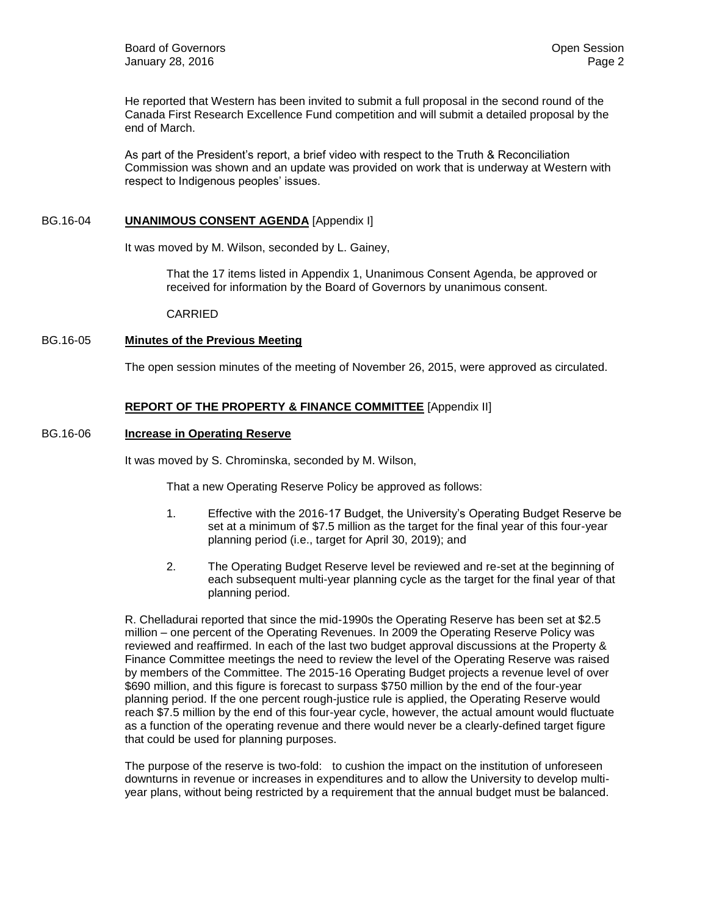He reported that Western has been invited to submit a full proposal in the second round of the Canada First Research Excellence Fund competition and will submit a detailed proposal by the end of March.

As part of the President's report, a brief video with respect to the Truth & Reconciliation Commission was shown and an update was provided on work that is underway at Western with respect to Indigenous peoples' issues.

#### BG.16-04 **UNANIMOUS CONSENT AGENDA** [Appendix I]

It was moved by M. Wilson, seconded by L. Gainey,

That the 17 items listed in Appendix 1, Unanimous Consent Agenda, be approved or received for information by the Board of Governors by unanimous consent.

CARRIED

#### BG.16-05 **Minutes of the Previous Meeting**

The open session minutes of the meeting of November 26, 2015, were approved as circulated.

### **REPORT OF THE PROPERTY & FINANCE COMMITTEE** [Appendix II]

#### BG.16-06 **Increase in Operating Reserve**

It was moved by S. Chrominska, seconded by M. Wilson,

That a new Operating Reserve Policy be approved as follows:

- 1. Effective with the 2016-17 Budget, the University's Operating Budget Reserve be set at a minimum of \$7.5 million as the target for the final year of this four-year planning period (i.e., target for April 30, 2019); and
- 2. The Operating Budget Reserve level be reviewed and re-set at the beginning of each subsequent multi-year planning cycle as the target for the final year of that planning period.

R. Chelladurai reported that since the mid-1990s the Operating Reserve has been set at \$2.5 million – one percent of the Operating Revenues. In 2009 the Operating Reserve Policy was reviewed and reaffirmed. In each of the last two budget approval discussions at the Property & Finance Committee meetings the need to review the level of the Operating Reserve was raised by members of the Committee. The 2015-16 Operating Budget projects a revenue level of over \$690 million, and this figure is forecast to surpass \$750 million by the end of the four-year planning period. If the one percent rough-justice rule is applied, the Operating Reserve would reach \$7.5 million by the end of this four-year cycle, however, the actual amount would fluctuate as a function of the operating revenue and there would never be a clearly-defined target figure that could be used for planning purposes.

The purpose of the reserve is two-fold: to cushion the impact on the institution of unforeseen downturns in revenue or increases in expenditures and to allow the University to develop multiyear plans, without being restricted by a requirement that the annual budget must be balanced.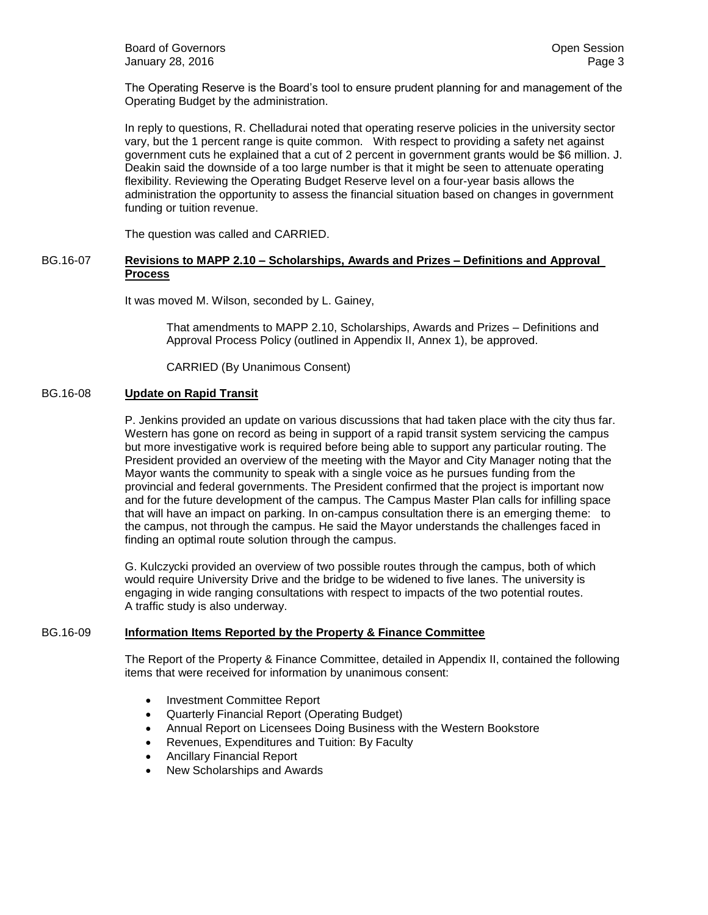The Operating Reserve is the Board's tool to ensure prudent planning for and management of the Operating Budget by the administration.

In reply to questions, R. Chelladurai noted that operating reserve policies in the university sector vary, but the 1 percent range is quite common. With respect to providing a safety net against government cuts he explained that a cut of 2 percent in government grants would be \$6 million. J. Deakin said the downside of a too large number is that it might be seen to attenuate operating flexibility. Reviewing the Operating Budget Reserve level on a four-year basis allows the administration the opportunity to assess the financial situation based on changes in government funding or tuition revenue.

The question was called and CARRIED.

#### BG.16-07 **Revisions to MAPP 2.10 – Scholarships, Awards and Prizes – Definitions and Approval Process**

It was moved M. Wilson, seconded by L. Gainey,

That amendments to MAPP 2.10, Scholarships, Awards and Prizes – Definitions and Approval Process Policy (outlined in Appendix II, Annex 1), be approved.

CARRIED (By Unanimous Consent)

#### BG.16-08 **Update on Rapid Transit**

P. Jenkins provided an update on various discussions that had taken place with the city thus far. Western has gone on record as being in support of a rapid transit system servicing the campus but more investigative work is required before being able to support any particular routing. The President provided an overview of the meeting with the Mayor and City Manager noting that the Mayor wants the community to speak with a single voice as he pursues funding from the provincial and federal governments. The President confirmed that the project is important now and for the future development of the campus. The Campus Master Plan calls for infilling space that will have an impact on parking. In on-campus consultation there is an emerging theme: to the campus, not through the campus. He said the Mayor understands the challenges faced in finding an optimal route solution through the campus.

G. Kulczycki provided an overview of two possible routes through the campus, both of which would require University Drive and the bridge to be widened to five lanes. The university is engaging in wide ranging consultations with respect to impacts of the two potential routes. A traffic study is also underway.

#### BG.16-09 **Information Items Reported by the Property & Finance Committee**

The Report of the Property & Finance Committee, detailed in Appendix II, contained the following items that were received for information by unanimous consent:

- Investment Committee Report
- Quarterly Financial Report (Operating Budget)
- Annual Report on Licensees Doing Business with the Western Bookstore
- Revenues, Expenditures and Tuition: By Faculty
- Ancillary Financial Report
- New Scholarships and Awards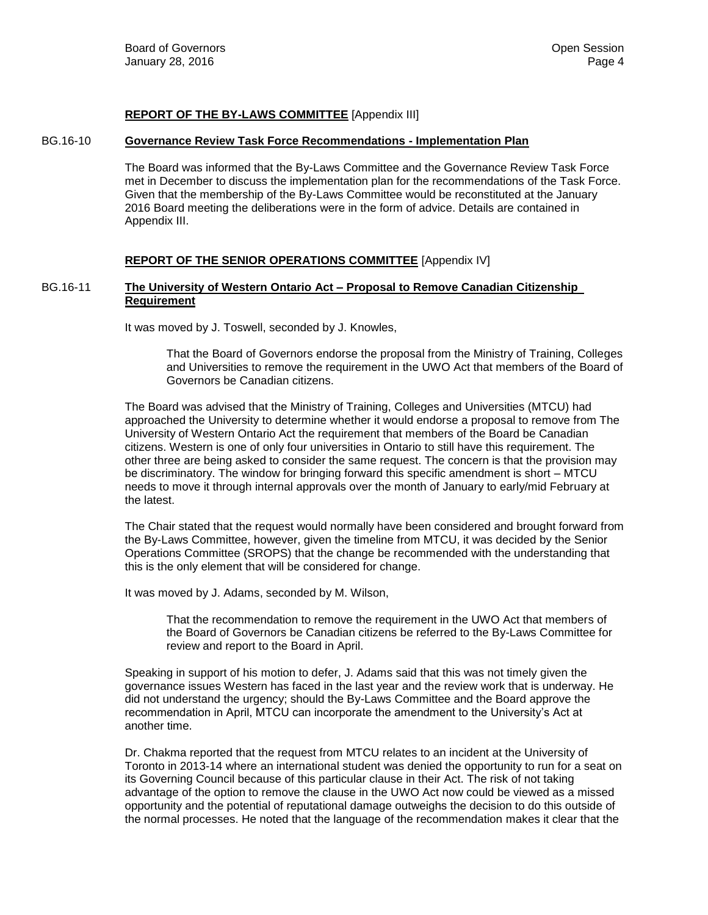#### **REPORT OF THE BY-LAWS COMMITTEE** [Appendix III]

#### BG.16-10 **Governance Review Task Force Recommendations - Implementation Plan**

The Board was informed that the By-Laws Committee and the Governance Review Task Force met in December to discuss the implementation plan for the recommendations of the Task Force. Given that the membership of the By-Laws Committee would be reconstituted at the January 2016 Board meeting the deliberations were in the form of advice. Details are contained in Appendix III.

#### **REPORT OF THE SENIOR OPERATIONS COMMITTEE** [Appendix IV]

#### BG.16-11 **The University of Western Ontario Act – Proposal to Remove Canadian Citizenship Requirement**

It was moved by J. Toswell, seconded by J. Knowles,

That the Board of Governors endorse the proposal from the Ministry of Training, Colleges and Universities to remove the requirement in the UWO Act that members of the Board of Governors be Canadian citizens.

The Board was advised that the Ministry of Training, Colleges and Universities (MTCU) had approached the University to determine whether it would endorse a proposal to remove from The University of Western Ontario Act the requirement that members of the Board be Canadian citizens. Western is one of only four universities in Ontario to still have this requirement. The other three are being asked to consider the same request. The concern is that the provision may be discriminatory. The window for bringing forward this specific amendment is short – MTCU needs to move it through internal approvals over the month of January to early/mid February at the latest.

The Chair stated that the request would normally have been considered and brought forward from the By-Laws Committee, however, given the timeline from MTCU, it was decided by the Senior Operations Committee (SROPS) that the change be recommended with the understanding that this is the only element that will be considered for change.

It was moved by J. Adams, seconded by M. Wilson,

That the recommendation to remove the requirement in the UWO Act that members of the Board of Governors be Canadian citizens be referred to the By-Laws Committee for review and report to the Board in April.

Speaking in support of his motion to defer, J. Adams said that this was not timely given the governance issues Western has faced in the last year and the review work that is underway. He did not understand the urgency; should the By-Laws Committee and the Board approve the recommendation in April, MTCU can incorporate the amendment to the University's Act at another time.

Dr. Chakma reported that the request from MTCU relates to an incident at the University of Toronto in 2013-14 where an international student was denied the opportunity to run for a seat on its Governing Council because of this particular clause in their Act. The risk of not taking advantage of the option to remove the clause in the UWO Act now could be viewed as a missed opportunity and the potential of reputational damage outweighs the decision to do this outside of the normal processes. He noted that the language of the recommendation makes it clear that the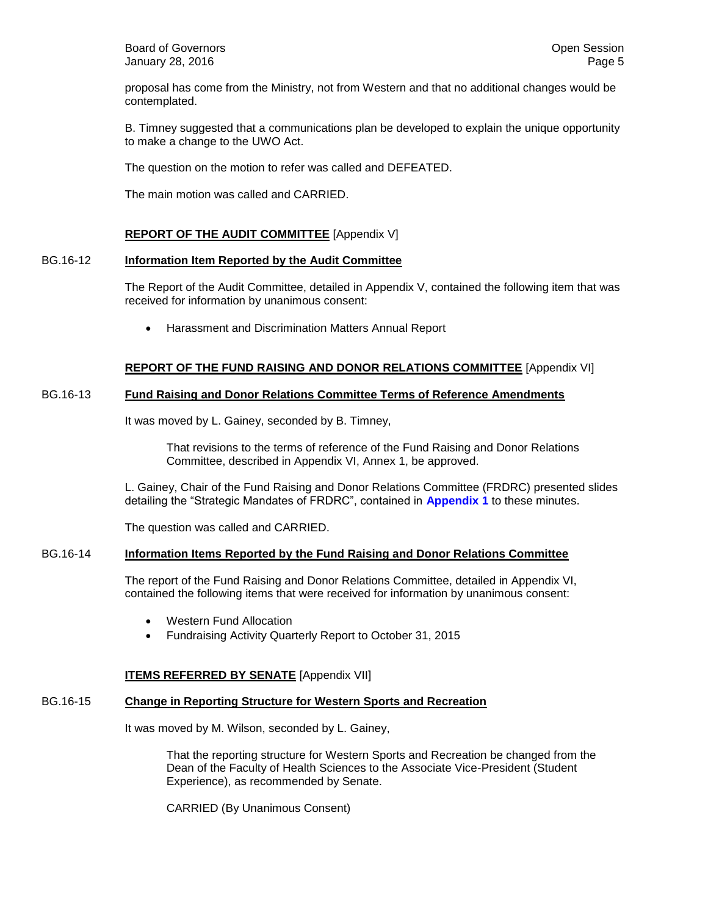**Board of Governors Contract Contract Contract Contract Contract Contract Contract Contract Contract Contract Contract Contract Contract Contract Contract Contract Contract Contract Contract Contract Contract Contract Co** January 28, 2016 Page 5

proposal has come from the Ministry, not from Western and that no additional changes would be contemplated.

B. Timney suggested that a communications plan be developed to explain the unique opportunity to make a change to the UWO Act.

The question on the motion to refer was called and DEFEATED.

The main motion was called and CARRIED.

#### **REPORT OF THE AUDIT COMMITTEE** [Appendix V]

#### BG.16-12 **Information Item Reported by the Audit Committee**

The Report of the Audit Committee, detailed in Appendix V, contained the following item that was received for information by unanimous consent:

Harassment and Discrimination Matters Annual Report

#### **REPORT OF THE FUND RAISING AND DONOR RELATIONS COMMITTEE** [Appendix VI]

#### BG.16-13 **Fund Raising and Donor Relations Committee Terms of Reference Amendments**

It was moved by L. Gainey, seconded by B. Timney,

That revisions to the terms of reference of the Fund Raising and Donor Relations Committee, described in Appendix VI, Annex 1, be approved.

L. Gainey, Chair of the Fund Raising and Donor Relations Committee (FRDRC) presented slides detailing the "Strategic Mandates of FRDRC", contained in **[Appendix 1](#page-7-0)** to these minutes.

The question was called and CARRIED.

#### BG.16-14 **Information Items Reported by the Fund Raising and Donor Relations Committee**

The report of the Fund Raising and Donor Relations Committee, detailed in Appendix VI, contained the following items that were received for information by unanimous consent:

- Western Fund Allocation
- Fundraising Activity Quarterly Report to October 31, 2015

#### **ITEMS REFERRED BY SENATE** [Appendix VII]

#### BG.16-15 **Change in Reporting Structure for Western Sports and Recreation**

It was moved by M. Wilson, seconded by L. Gainey,

That the reporting structure for Western Sports and Recreation be changed from the Dean of the Faculty of Health Sciences to the Associate Vice-President (Student Experience), as recommended by Senate.

CARRIED (By Unanimous Consent)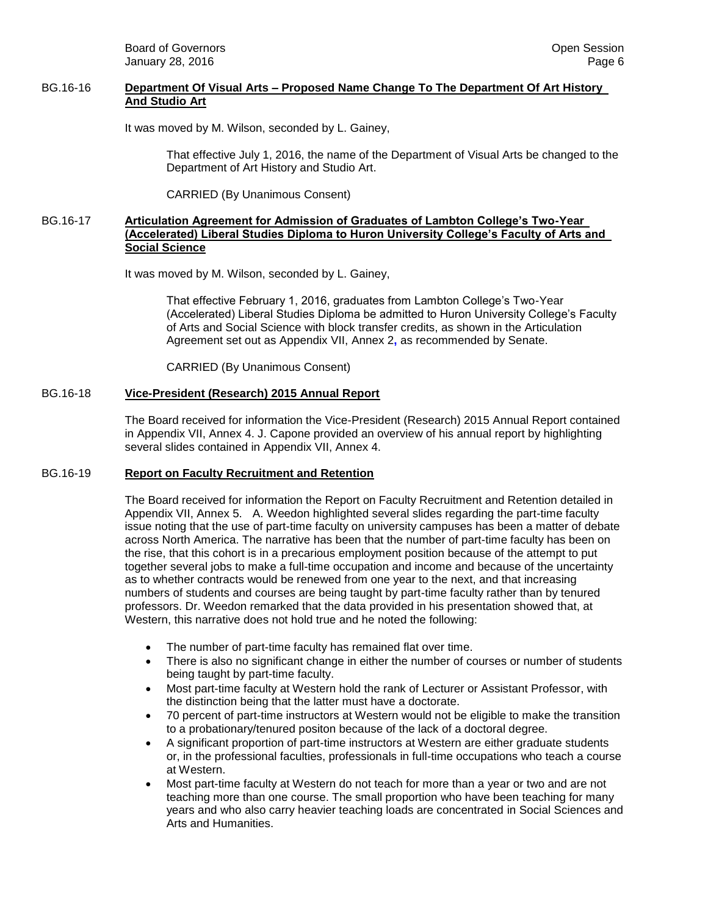**Board of Governors Contract Contract Contract Contract Contract Contract Contract Contract Contract Contract Contract Contract Contract Contract Contract Contract Contract Contract Contract Contract Contract Contract Co** January 28, 2016 Page 6

#### BG.16-16 **Department Of Visual Arts – Proposed Name Change To The Department Of Art History And Studio Art**

It was moved by M. Wilson, seconded by L. Gainey,

That effective July 1, 2016, the name of the Department of Visual Arts be changed to the Department of Art History and Studio Art.

CARRIED (By Unanimous Consent)

#### BG.16-17 **Articulation Agreement for Admission of Graduates of Lambton College's Two-Year (Accelerated) Liberal Studies Diploma to Huron University College's Faculty of Arts and Social Science**

It was moved by M. Wilson, seconded by L. Gainey,

That effective February 1, 2016, graduates from Lambton College's Two-Year (Accelerated) Liberal Studies Diploma be admitted to Huron University College's Faculty of Arts and Social Science with block transfer credits, as shown in the Articulation Agreement set out as Appendix VII, Annex 2**,** as recommended by Senate.

CARRIED (By Unanimous Consent)

#### BG.16-18 **Vice-President (Research) 2015 Annual Report**

The Board received for information the Vice-President (Research) 2015 Annual Report contained in Appendix VII, Annex 4. J. Capone provided an overview of his annual report by highlighting several slides contained in Appendix VII, Annex 4.

#### BG.16-19 **Report on Faculty Recruitment and Retention**

The Board received for information the Report on Faculty Recruitment and Retention detailed in Appendix VII, Annex 5. A. Weedon highlighted several slides regarding the part-time faculty issue noting that the use of part-time faculty on university campuses has been a matter of debate across North America. The narrative has been that the number of part-time faculty has been on the rise, that this cohort is in a precarious employment position because of the attempt to put together several jobs to make a full-time occupation and income and because of the uncertainty as to whether contracts would be renewed from one year to the next, and that increasing numbers of students and courses are being taught by part-time faculty rather than by tenured professors. Dr. Weedon remarked that the data provided in his presentation showed that, at Western, this narrative does not hold true and he noted the following:

- The number of part-time faculty has remained flat over time.
- There is also no significant change in either the number of courses or number of students being taught by part-time faculty.
- Most part-time faculty at Western hold the rank of Lecturer or Assistant Professor, with the distinction being that the latter must have a doctorate.
- 70 percent of part-time instructors at Western would not be eligible to make the transition to a probationary/tenured positon because of the lack of a doctoral degree.
- A significant proportion of part-time instructors at Western are either graduate students or, in the professional faculties, professionals in full-time occupations who teach a course at Western.
- Most part-time faculty at Western do not teach for more than a year or two and are not teaching more than one course. The small proportion who have been teaching for many years and who also carry heavier teaching loads are concentrated in Social Sciences and Arts and Humanities.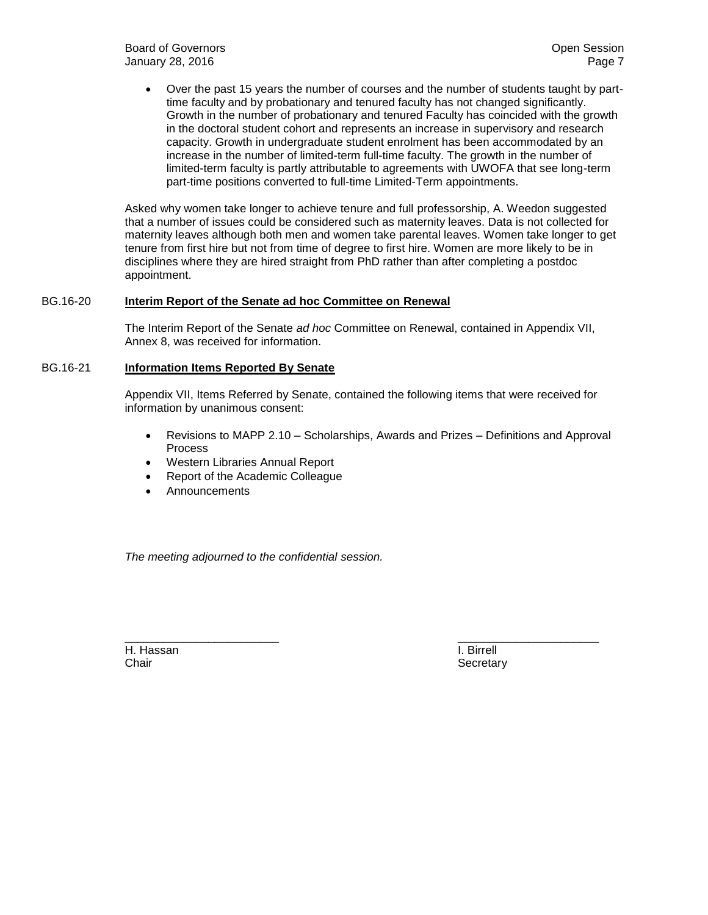Over the past 15 years the number of courses and the number of students taught by parttime faculty and by probationary and tenured faculty has not changed significantly. Growth in the number of probationary and tenured Faculty has coincided with the growth in the doctoral student cohort and represents an increase in supervisory and research capacity. Growth in undergraduate student enrolment has been accommodated by an increase in the number of limited-term full-time faculty. The growth in the number of limited-term faculty is partly attributable to agreements with UWOFA that see long-term part-time positions converted to full-time Limited-Term appointments.

Asked why women take longer to achieve tenure and full professorship, A. Weedon suggested that a number of issues could be considered such as maternity leaves. Data is not collected for maternity leaves although both men and women take parental leaves. Women take longer to get tenure from first hire but not from time of degree to first hire. Women are more likely to be in disciplines where they are hired straight from PhD rather than after completing a postdoc appointment.

#### BG.16-20 **Interim Report of the Senate ad hoc Committee on Renewal**

The Interim Report of the Senate *ad hoc* Committee on Renewal, contained in Appendix VII, Annex 8, was received for information.

#### BG.16-21 **Information Items Reported By Senate**

Appendix VII, Items Referred by Senate, contained the following items that were received for information by unanimous consent:

\_\_\_\_\_\_\_\_\_\_\_\_\_\_\_\_\_\_\_\_\_\_\_\_ \_\_\_\_\_\_\_\_\_\_\_\_\_\_\_\_\_\_\_\_\_\_

- Revisions to MAPP 2.10 Scholarships, Awards and Prizes Definitions and Approval Process
- Western Libraries Annual Report
- Report of the Academic Colleague
- **Announcements**

*The meeting adjourned to the confidential session.*

H. Hassan I. Birrell Chair **Secretary** Secretary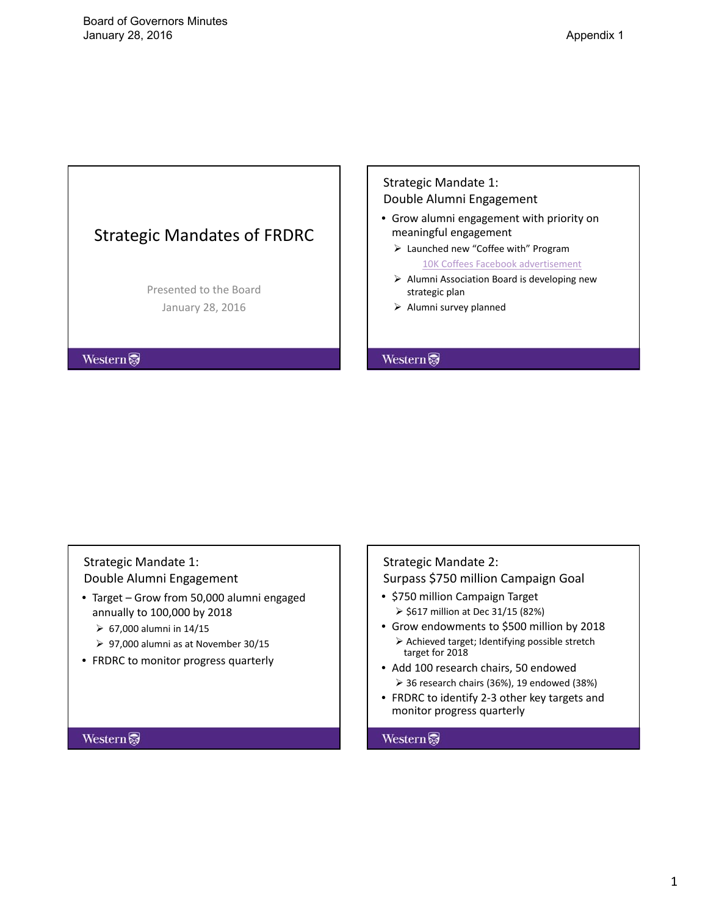# <span id="page-7-0"></span>Strategic Mandates of FRDRC

Presented to the Board January 28, 2016

**Western** 

## Strategic Mandate 1: Double Alumni Engagement

- Grow alumni engagement with priority on meaningful engagement
	- Launched new "Coffee with" Program 10K Coffees Facebook advertisement
	- $\triangleright$  Alumni Association Board is developing new strategic plan
	- $\triangleright$  Alumni survey planned

### **Western**

# Strategic Mandate 1: Double Alumni Engagement

- Target Grow from 50,000 alumni engaged annually to 100,000 by 2018
	- $\geq 67,000$  alumni in 14/15
	- 97,000 alumni as at November 30/15
- FRDRC to monitor progress quarterly

### **Western**

# Strategic Mandate 2: Surpass \$750 million Campaign Goal

- \$750 million Campaign Target  $>$  \$617 million at Dec 31/15 (82%)
- Grow endowments to \$500 million by 2018  $\triangleright$  Achieved target; Identifying possible stretch target for 2018
- Add 100 research chairs, 50 endowed  $\geq$  36 research chairs (36%), 19 endowed (38%)
- FRDRC to identify 2‐3 other key targets and monitor progress quarterly

### Western